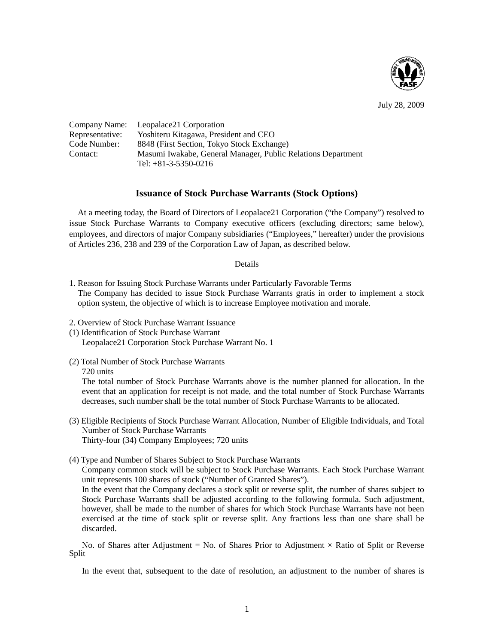

July 28, 2009

|                 | Company Name: Leopalace21 Corporation                        |
|-----------------|--------------------------------------------------------------|
| Representative: | Yoshiteru Kitagawa, President and CEO                        |
| Code Number:    | 8848 (First Section, Tokyo Stock Exchange)                   |
| Contact:        | Masumi Iwakabe, General Manager, Public Relations Department |
|                 | Tel: $+81-3-5350-0216$                                       |

## **Issuance of Stock Purchase Warrants (Stock Options)**

At a meeting today, the Board of Directors of Leopalace21 Corporation ("the Company") resolved to issue Stock Purchase Warrants to Company executive officers (excluding directors; same below), employees, and directors of major Company subsidiaries ("Employees," hereafter) under the provisions of Articles 236, 238 and 239 of the Corporation Law of Japan, as described below.

## Details

- 1. Reason for Issuing Stock Purchase Warrants under Particularly Favorable Terms The Company has decided to issue Stock Purchase Warrants gratis in order to implement a stock option system, the objective of which is to increase Employee motivation and morale.
- 2. Overview of Stock Purchase Warrant Issuance
- (1) Identification of Stock Purchase Warrant
	- Leopalace21 Corporation Stock Purchase Warrant No. 1
- (2) Total Number of Stock Purchase Warrants 720 units

The total number of Stock Purchase Warrants above is the number planned for allocation. In the event that an application for receipt is not made, and the total number of Stock Purchase Warrants decreases, such number shall be the total number of Stock Purchase Warrants to be allocated.

- (3) Eligible Recipients of Stock Purchase Warrant Allocation, Number of Eligible Individuals, and Total Number of Stock Purchase Warrants Thirty-four (34) Company Employees; 720 units
- (4) Type and Number of Shares Subject to Stock Purchase Warrants

Company common stock will be subject to Stock Purchase Warrants. Each Stock Purchase Warrant unit represents 100 shares of stock ("Number of Granted Shares").

In the event that the Company declares a stock split or reverse split, the number of shares subject to Stock Purchase Warrants shall be adjusted according to the following formula. Such adjustment, however, shall be made to the number of shares for which Stock Purchase Warrants have not been exercised at the time of stock split or reverse split. Any fractions less than one share shall be discarded.

No. of Shares after Adjustment = No. of Shares Prior to Adjustment  $\times$  Ratio of Split or Reverse Split

In the event that, subsequent to the date of resolution, an adjustment to the number of shares is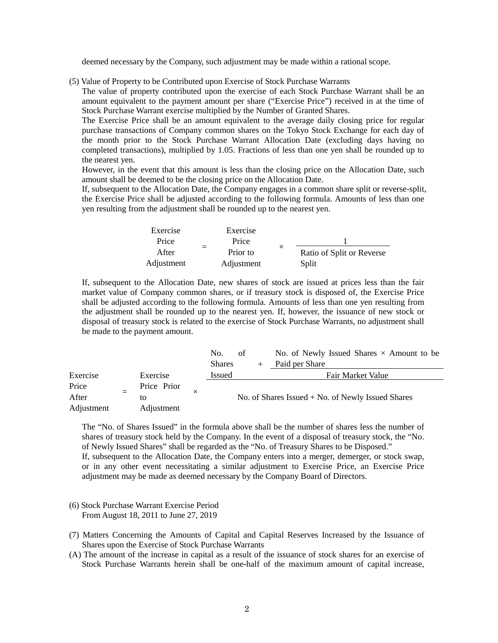deemed necessary by the Company, such adjustment may be made within a rational scope.

(5) Value of Property to be Contributed upon Exercise of Stock Purchase Warrants

The value of property contributed upon the exercise of each Stock Purchase Warrant shall be an amount equivalent to the payment amount per share ("Exercise Price") received in at the time of Stock Purchase Warrant exercise multiplied by the Number of Granted Shares.

The Exercise Price shall be an amount equivalent to the average daily closing price for regular purchase transactions of Company common shares on the Tokyo Stock Exchange for each day of the month prior to the Stock Purchase Warrant Allocation Date (excluding days having no completed transactions), multiplied by 1.05. Fractions of less than one yen shall be rounded up to the nearest yen.

However, in the event that this amount is less than the closing price on the Allocation Date, such amount shall be deemed to be the closing price on the Allocation Date.

If, subsequent to the Allocation Date, the Company engages in a common share split or reverse-split, the Exercise Price shall be adjusted according to the following formula. Amounts of less than one yen resulting from the adjustment shall be rounded up to the nearest yen.

| Exercise   | Exercise        |          |                           |
|------------|-----------------|----------|---------------------------|
| Price      | Price           |          |                           |
| After      | $=$<br>Prior to | $\times$ | Ratio of Split or Reverse |
| Adjustment | Adjustment      |          | Split                     |

If, subsequent to the Allocation Date, new shares of stock are issued at prices less than the fair market value of Company common shares, or if treasury stock is disposed of, the Exercise Price shall be adjusted according to the following formula. Amounts of less than one yen resulting from the adjustment shall be rounded up to the nearest yen. If, however, the issuance of new stock or disposal of treasury stock is related to the exercise of Stock Purchase Warrants, no adjustment shall be made to the payment amount.

|            |             |   | No.                                                 | of |  | No. of Newly Issued Shares $\times$ Amount to be |
|------------|-------------|---|-----------------------------------------------------|----|--|--------------------------------------------------|
|            |             |   | <b>Shares</b>                                       |    |  | Paid per Share                                   |
| Exercise   | Exercise    |   | <b>Issued</b>                                       |    |  | Fair Market Value                                |
| Price      | Price Prior |   | No. of Shares Issued $+$ No. of Newly Issued Shares |    |  |                                                  |
| After      | to          | X |                                                     |    |  |                                                  |
| Adjustment | Adjustment  |   |                                                     |    |  |                                                  |

The "No. of Shares Issued" in the formula above shall be the number of shares less the number of shares of treasury stock held by the Company. In the event of a disposal of treasury stock, the "No. of Newly Issued Shares" shall be regarded as the "No. of Treasury Shares to be Disposed." If, subsequent to the Allocation Date, the Company enters into a merger, demerger, or stock swap, or in any other event necessitating a similar adjustment to Exercise Price, an Exercise Price adjustment may be made as deemed necessary by the Company Board of Directors.

- (6) Stock Purchase Warrant Exercise Period From August 18, 2011 to June 27, 2019
- (7) Matters Concerning the Amounts of Capital and Capital Reserves Increased by the Issuance of Shares upon the Exercise of Stock Purchase Warrants
- (A) The amount of the increase in capital as a result of the issuance of stock shares for an exercise of Stock Purchase Warrants herein shall be one-half of the maximum amount of capital increase,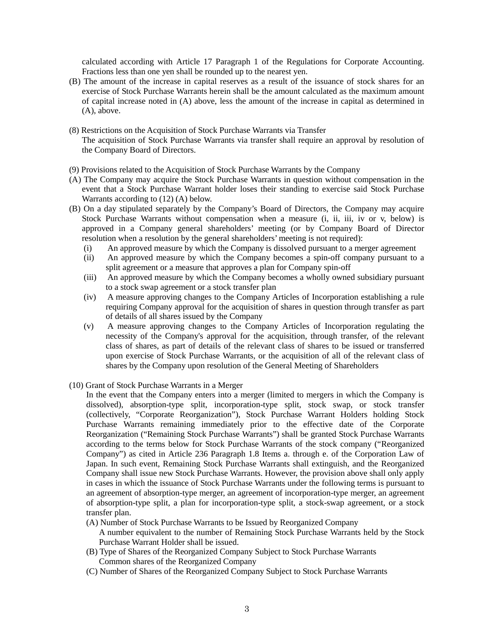calculated according with Article 17 Paragraph 1 of the Regulations for Corporate Accounting. Fractions less than one yen shall be rounded up to the nearest yen.

- (B) The amount of the increase in capital reserves as a result of the issuance of stock shares for an exercise of Stock Purchase Warrants herein shall be the amount calculated as the maximum amount of capital increase noted in (A) above, less the amount of the increase in capital as determined in (A), above.
- (8) Restrictions on the Acquisition of Stock Purchase Warrants via Transfer The acquisition of Stock Purchase Warrants via transfer shall require an approval by resolution of the Company Board of Directors.
- (9) Provisions related to the Acquisition of Stock Purchase Warrants by the Company
- (A) The Company may acquire the Stock Purchase Warrants in question without compensation in the event that a Stock Purchase Warrant holder loses their standing to exercise said Stock Purchase Warrants according to (12) (A) below.
- (B) On a day stipulated separately by the Company's Board of Directors, the Company may acquire Stock Purchase Warrants without compensation when a measure (i, ii, iii, iv or v, below) is approved in a Company general shareholders' meeting (or by Company Board of Director resolution when a resolution by the general shareholders' meeting is not required):
	- (i) An approved measure by which the Company is dissolved pursuant to a merger agreement
	- (ii) An approved measure by which the Company becomes a spin-off company pursuant to a split agreement or a measure that approves a plan for Company spin-off
	- (iii) An approved measure by which the Company becomes a wholly owned subsidiary pursuant to a stock swap agreement or a stock transfer plan
	- (iv) A measure approving changes to the Company Articles of Incorporation establishing a rule requiring Company approval for the acquisition of shares in question through transfer as part of details of all shares issued by the Company
	- (v) A measure approving changes to the Company Articles of Incorporation regulating the necessity of the Company's approval for the acquisition, through transfer, of the relevant class of shares, as part of details of the relevant class of shares to be issued or transferred upon exercise of Stock Purchase Warrants, or the acquisition of all of the relevant class of shares by the Company upon resolution of the General Meeting of Shareholders
- (10) Grant of Stock Purchase Warrants in a Merger
	- In the event that the Company enters into a merger (limited to mergers in which the Company is dissolved), absorption-type split, incorporation-type split, stock swap, or stock transfer (collectively, "Corporate Reorganization"), Stock Purchase Warrant Holders holding Stock Purchase Warrants remaining immediately prior to the effective date of the Corporate Reorganization ("Remaining Stock Purchase Warrants") shall be granted Stock Purchase Warrants according to the terms below for Stock Purchase Warrants of the stock company ("Reorganized Company") as cited in Article 236 Paragraph 1.8 Items a. through e. of the Corporation Law of Japan. In such event, Remaining Stock Purchase Warrants shall extinguish, and the Reorganized Company shall issue new Stock Purchase Warrants. However, the provision above shall only apply in cases in which the issuance of Stock Purchase Warrants under the following terms is pursuant to an agreement of absorption-type merger, an agreement of incorporation-type merger, an agreement of absorption-type split, a plan for incorporation-type split, a stock-swap agreement, or a stock transfer plan.
	- (A) Number of Stock Purchase Warrants to be Issued by Reorganized Company
		- A number equivalent to the number of Remaining Stock Purchase Warrants held by the Stock Purchase Warrant Holder shall be issued.
	- (B) Type of Shares of the Reorganized Company Subject to Stock Purchase Warrants Common shares of the Reorganized Company
	- (C) Number of Shares of the Reorganized Company Subject to Stock Purchase Warrants